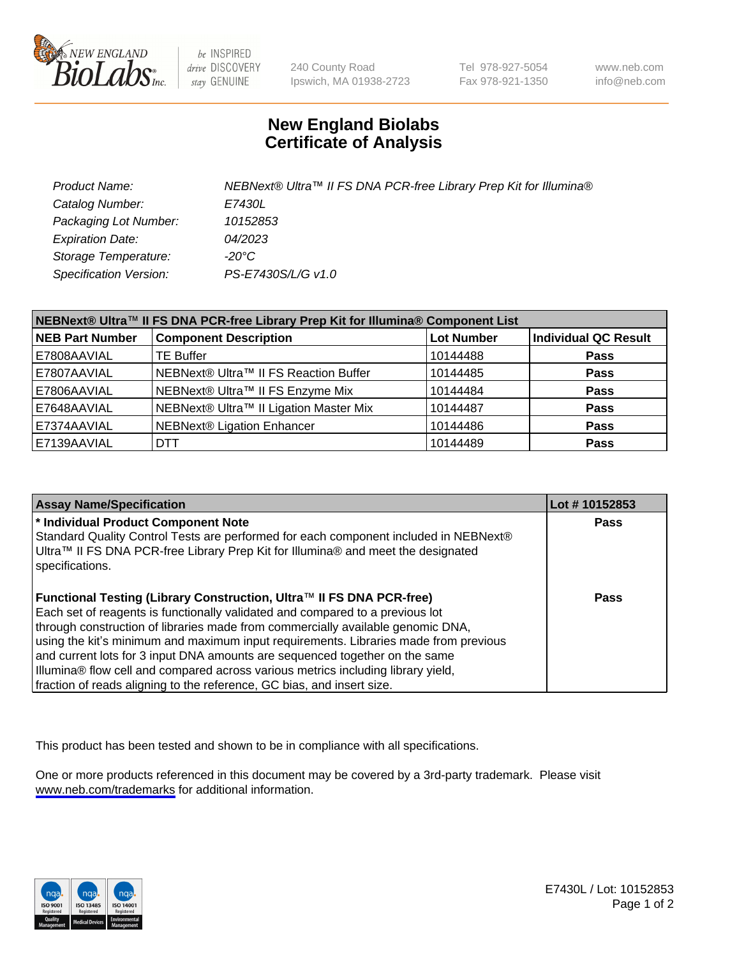

be INSPIRED drive DISCOVERY stay GENUINE

240 County Road Ipswich, MA 01938-2723 Tel 978-927-5054 Fax 978-921-1350

www.neb.com info@neb.com

## **New England Biolabs Certificate of Analysis**

| Product Name:           | NEBNext® Ultra™ II FS DNA PCR-free Library Prep Kit for Illumina® |
|-------------------------|-------------------------------------------------------------------|
| Catalog Number:         | E7430L                                                            |
| Packaging Lot Number:   | 10152853                                                          |
| <b>Expiration Date:</b> | 04/2023                                                           |
| Storage Temperature:    | -20°C                                                             |
| Specification Version:  | PS-E7430S/L/G v1.0                                                |

| NEBNext® Ultra™ II FS DNA PCR-free Library Prep Kit for Illumina® Component List |                                        |                   |                             |  |
|----------------------------------------------------------------------------------|----------------------------------------|-------------------|-----------------------------|--|
| <b>NEB Part Number</b>                                                           | <b>Component Description</b>           | <b>Lot Number</b> | <b>Individual QC Result</b> |  |
| E7808AAVIAL                                                                      | <b>TE Buffer</b>                       | 10144488          | <b>Pass</b>                 |  |
| E7807AAVIAL                                                                      | NEBNext® Ultra™ II FS Reaction Buffer  | 10144485          | <b>Pass</b>                 |  |
| E7806AAVIAL                                                                      | NEBNext® Ultra™ II FS Enzyme Mix       | 10144484          | <b>Pass</b>                 |  |
| E7648AAVIAL                                                                      | NEBNext® Ultra™ II Ligation Master Mix | 10144487          | <b>Pass</b>                 |  |
| E7374AAVIAL                                                                      | <b>NEBNext® Ligation Enhancer</b>      | 10144486          | <b>Pass</b>                 |  |
| E7139AAVIAL                                                                      | DTT.                                   | 10144489          | <b>Pass</b>                 |  |

| <b>Assay Name/Specification</b>                                                                                                                                                                                                                                                                                                                                                                                                                                                                                                                                               | Lot #10152853 |
|-------------------------------------------------------------------------------------------------------------------------------------------------------------------------------------------------------------------------------------------------------------------------------------------------------------------------------------------------------------------------------------------------------------------------------------------------------------------------------------------------------------------------------------------------------------------------------|---------------|
| * Individual Product Component Note<br>Standard Quality Control Tests are performed for each component included in NEBNext®<br>Ultra™ II FS DNA PCR-free Library Prep Kit for Illumina® and meet the designated<br>specifications.                                                                                                                                                                                                                                                                                                                                            | <b>Pass</b>   |
| Functional Testing (Library Construction, Ultra™ II FS DNA PCR-free)<br>Each set of reagents is functionally validated and compared to a previous lot<br>through construction of libraries made from commercially available genomic DNA,<br>using the kit's minimum and maximum input requirements. Libraries made from previous<br>and current lots for 3 input DNA amounts are sequenced together on the same<br>Illumina® flow cell and compared across various metrics including library yield,<br>fraction of reads aligning to the reference, GC bias, and insert size. | <b>Pass</b>   |

This product has been tested and shown to be in compliance with all specifications.

One or more products referenced in this document may be covered by a 3rd-party trademark. Please visit <www.neb.com/trademarks>for additional information.